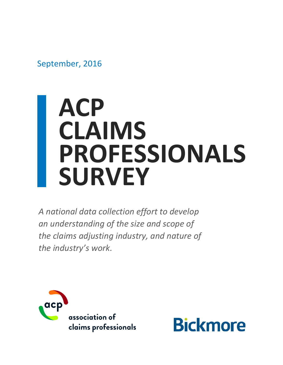September, 2016

# **ACP CLAIMS PROFESSIONALS SURVEY**

*A national data collection effort to develop an understanding of the size and scope of the claims adjusting industry, and nature of the industry's work.*



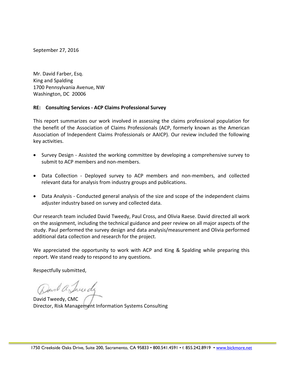September 27, 2016

Mr. David Farber, Esq. King and Spalding 1700 Pennsylvania Avenue, NW Washington, DC 20006

### **RE: Consulting Services ‐ ACP Claims Professional Survey**

This report summarizes our work involved in assessing the claims professional population for the benefit of the Association of Claims Professionals (ACP, formerly known as the American Association of Independent Claims Professionals or AAICP). Our review included the following key activities.

- Survey Design Assisted the working committee by developing a comprehensive survey to submit to ACP members and non‐members.
- Data Collection Deployed survey to ACP members and non-members, and collected relevant data for analysis from industry groups and publications.
- Data Analysis Conducted general analysis of the size and scope of the independent claims adjuster industry based on survey and collected data.

Our research team included David Tweedy, Paul Cross, and Olivia Raese. David directed all work on the assignment, including the technical guidance and peer review on all major aspects of the study. Paul performed the survey design and data analysis/measurement and Olivia performed additional data collection and research for the project.

We appreciated the opportunity to work with ACP and King & Spalding while preparing this report. We stand ready to respond to any questions.

Respectfully submitted,

Dand a Jacedy

David Tweedy, CMC Director, Risk Management Information Systems Consulting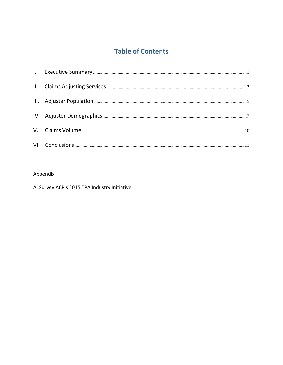# **Table of Contents**

### Appendix

A. Survey ACP's 2015 TPA Industry Initiative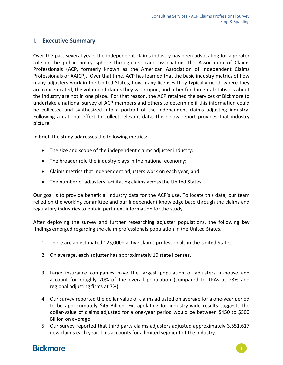### **I. Executive Summary**

Over the past several years the independent claims industry has been advocating for a greater role in the public policy sphere through its trade association, the Association of Claims Professionals (ACP, formerly known as the American Association of Independent Claims Professionals or AAICP). Over that time, ACP has learned that the basic industry metrics of how many adjusters work in the United States, how many licenses they typically need, where they are concentrated, the volume of claims they work upon, and other fundamental statistics about the industry are not in one place. For that reason, the ACP retained the services of Bickmore to undertake a national survey of ACP members and others to determine if this information could be collected and synthesized into a portrait of the independent claims adjusting industry. Following a national effort to collect relevant data, the below report provides that industry picture.

In brief, the study addresses the following metrics:

- The size and scope of the independent claims adjuster industry;
- The broader role the industry plays in the national economy;
- Claims metrics that independent adjusters work on each year; and
- The number of adjusters facilitating claims across the United States.

Our goal is to provide beneficial industry data for the ACP's use. To locate this data, our team relied on the working committee and our independent knowledge base through the claims and regulatory industries to obtain pertinent information for the study.

After deploying the survey and further researching adjuster populations, the following key findings emerged regarding the claim professionals population in the United States.

- 1. There are an estimated 125,000+ active claims professionals in the United States.
- 2. On average, each adjuster has approximately 10 state licenses.
- 3. Large insurance companies have the largest population of adjusters in‐house and account for roughly 70% of the overall population (compared to TPAs at 23% and regional adjusting firms at 7%).
- 4. Our survey reported the dollar value of claims adjusted on average for a one‐year period to be approximately \$45 Billion. Extrapolating for industry-wide results suggests the dollar‐value of claims adjusted for a one‐year period would be between \$450 to \$500 Billion on average.
- 5. Our survey reported that third party claims adjusters adjusted approximately 3,551,617 new claims each year. This accounts for a limited segment of the industry.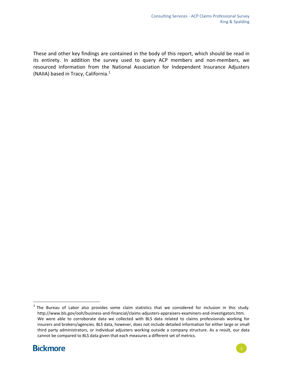These and other key findings are contained in the body of this report, which should be read in its entirety. In addition the survey used to query ACP members and non‐members, we resourced information from the National Association for Independent Insurance Adjusters (NAIIA) based in Tracy, California.<sup>1</sup>

<sup>&</sup>lt;sup>1</sup> The Bureau of Labor also provides some claim statistics that we considered for inclusion in this study. http://www.bls.gov/ooh/business‐and‐financial/claims‐adjusters‐appraisers‐examiners‐and‐investigators.htm. We were able to corroborate data we collected with BLS data related to claims professionals working for insurers and brokers/agencies. BLS data, however, does not include detailed information for either large or small third party administrators, or individual adjusters working outside a company structure. As a result, our data cannot be compared to BLS data given that each measures a different set of metrics.



 $\overline{a}$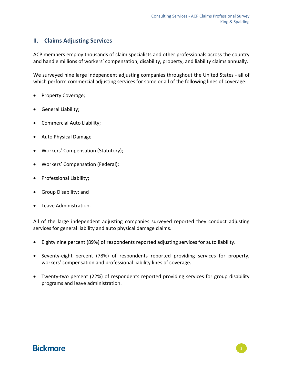### **II. Claims Adjusting Services**

ACP members employ thousands of claim specialists and other professionals across the country and handle millions of workers' compensation, disability, property, and liability claims annually.

We surveyed nine large independent adjusting companies throughout the United States - all of which perform commercial adjusting services for some or all of the following lines of coverage:

- Property Coverage;
- General Liability;
- Commercial Auto Liability;
- Auto Physical Damage
- Workers' Compensation (Statutory);
- Workers' Compensation (Federal);
- Professional Liability;
- Group Disability; and
- Leave Administration.

All of the large independent adjusting companies surveyed reported they conduct adjusting services for general liability and auto physical damage claims.

- Eighty nine percent (89%) of respondents reported adjusting services for auto liability.
- Seventy-eight percent (78%) of respondents reported providing services for property, workers' compensation and professional liability lines of coverage.
- Twenty‐two percent (22%) of respondents reported providing services for group disability programs and leave administration.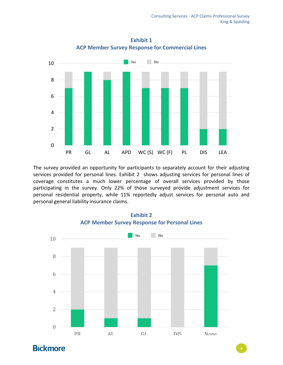

**Exhibit 1 ACP Member Survey Response for Commercial Lines**

The survey provided an opportunity for participants to separately account for their adjusting services provided for personal lines. Exhibit 2 shows adjusting services for personal lines of coverage constitutes a much lower percentage of overall services provided by those participating in the survey. Only 22% of those surveyed provide adjustment services for personal residential property, while 11% reportedly adjust services for personal auto and personal general liability insurance claims.



**Exhibit 2**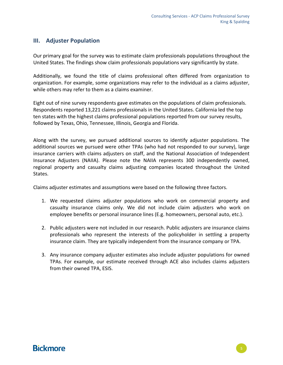### **III. Adjuster Population**

Our primary goal for the survey was to estimate claim professionals populations throughout the United States. The findings show claim professionals populations vary significantly by state.

Additionally, we found the title of claims professional often differed from organization to organization. For example, some organizations may refer to the individual as a claims adjuster, while others may refer to them as a claims examiner.

Eight out of nine survey respondents gave estimates on the populations of claim professionals. Respondents reported 13,221 claims professionals in the United States. California led the top ten states with the highest claims professional populations reported from our survey results, followed by Texas, Ohio, Tennessee, Illinois, Georgia and Florida.

Along with the survey, we pursued additional sources to identify adjuster populations. The additional sources we pursued were other TPAs (who had not responded to our survey), large insurance carriers with claims adjusters on staff, and the National Association of Independent Insurance Adjusters (NAIIA). Please note the NAIIA represents 300 independently owned, regional property and casualty claims adjusting companies located throughout the United States.

Claims adjuster estimates and assumptions were based on the following three factors.

- 1. We requested claims adjuster populations who work on commercial property and casualty insurance claims only. We did not include claim adjusters who work on employee benefits or personal insurance lines (E.g. homeowners, personal auto, etc.).
- 2. Public adjusters were not included in our research. Public adjusters are insurance claims professionals who represent the interests of the policyholder in settling a property insurance claim. They are typically independent from the insurance company or TPA.
- 3. Any insurance company adjuster estimates also include adjuster populations for owned TPAs. For example, our estimate received through ACE also includes claims adjusters from their owned TPA, ESIS.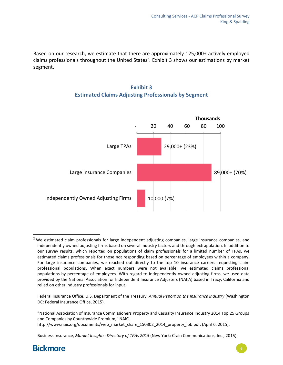Based on our research, we estimate that there are approximately 125,000+ actively employed claims professionals throughout the United States<sup>2</sup>. Exhibit 3 shows our estimations by market segment.





Federal Insurance Office, U.S. Department of the Treasury, *Annual Report on the Insurance Industry* (Washington DC: Federal Insurance Office, 2015).

"National Association of Insurance Commissioners Property and Casualty Insurance Industry 2014 Top 25 Groups and Companies by Countrywide Premium," NAIC, http://www.naic.org/documents/web\_market\_share\_150302\_2014\_property\_lob.pdf, (April 6, 2015).

Business Insurance, *Market Insights: Directory of TPAs 2015* (New York: Crain Communications, Inc., 2015).



 $\overline{\phantom{a}}$ 

<sup>&</sup>lt;sup>2</sup> We estimated claim professionals for large independent adjusting companies, large insurance companies, and independently owned adjusting firms based on several industry factors and through extrapolation. In addition to our survey results, which reported on populations of claim professionals for a limited number of TPAs, we estimated claims professionals for those not responding based on percentage of employees within a company. For large insurance companies, we reached out directly to the top 10 insurance carriers requesting claim professional populations. When exact numbers were not available, we estimated claims professional populations by percentage of employees. With regard to independently owned adjusting firms, we used data provided by the National Association for Independent Insurance Adjusters (NAIIA) based in Tracy, California and relied on other industry professionals for input.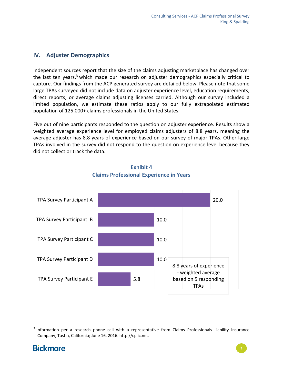### **IV. Adjuster Demographics**

Independent sources report that the size of the claims adjusting marketplace has changed over the last ten years,<sup>3</sup> which made our research on adjuster demographics especially critical to capture. Our findings from the ACP generated survey are detailed below. Please note that some large TPAs surveyed did not include data on adjuster experience level, education requirements, direct reports, or average claims adjusting licenses carried. Although our survey included a limited population, we estimate these ratios apply to our fully extrapolated estimated population of 125,000+ claims professionals in the United States.

Five out of nine participants responded to the question on adjuster experience. Results show a weighted average experience level for employed claims adjusters of 8.8 years, meaning the average adjuster has 8.8 years of experience based on our survey of major TPAs. Other large TPAs involved in the survey did not respond to the question on experience level because they did not collect or track the data.



### **Exhibit 4 Claims Professional Experience in Years**

<sup>&</sup>lt;sup>3</sup> Information per a research phone call with a representative from Claims Professionals Liability Insurance Company, Tustin, California; June 16, 2016. http://cplic.net.



 $\overline{a}$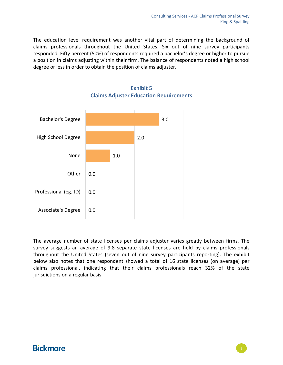The education level requirement was another vital part of determining the background of claims professionals throughout the United States. Six out of nine survey participants responded. Fifty percent (50%) of respondents required a bachelor's degree or higher to pursue a position in claims adjusting within their firm. The balance of respondents noted a high school degree or less in order to obtain the position of claims adjuster.



### **Exhibit 5 Claims Adjuster Education Requirements**

The average number of state licenses per claims adjuster varies greatly between firms. The survey suggests an average of 9.8 separate state licenses are held by claims professionals throughout the United States (seven out of nine survey participants reporting). The exhibit below also notes that one respondent showed a total of 16 state licenses (on average) per claims professional, indicating that their claims professionals reach 32% of the state jurisdictions on a regular basis.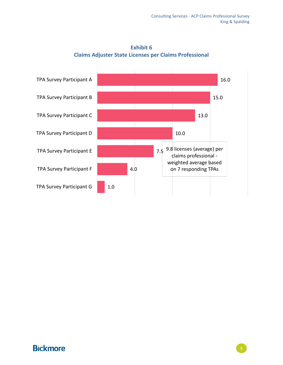

**Exhibit 6 Claims Adjuster State Licenses per Claims Professional**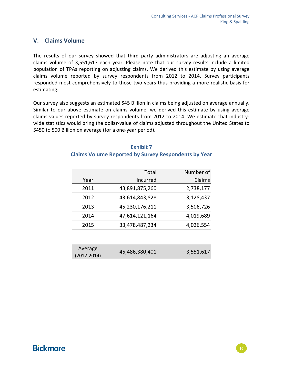### **V. Claims Volume**

The results of our survey showed that third party administrators are adjusting an average claims volume of 3,551,617 each year. Please note that our survey results include a limited population of TPAs reporting on adjusting claims. We derived this estimate by using average claims volume reported by survey respondents from 2012 to 2014. Survey participants responded most comprehensively to those two years thus providing a more realistic basis for estimating.

Our survey also suggests an estimated \$45 Billion in claims being adjusted on average annually. Similar to our above estimate on claims volume, we derived this estimate by using average claims values reported by survey respondents from 2012 to 2014. We estimate that industry‐ wide statistics would bring the dollar-value of claims adjusted throughout the United States to \$450 to 500 Billion on average (for a one‐year period).

### **Exhibit 7 Claims Volume Reported by Survey Respondents by Year**

|      | Total          | Number of |
|------|----------------|-----------|
| Year | Incurred       | Claims    |
| 2011 | 43,891,875,260 | 2,738,177 |
| 2012 | 43,614,843,828 | 3,128,437 |
| 2013 | 45,230,176,211 | 3,506,726 |
| 2014 | 47,614,121,164 | 4,019,689 |
| 2015 | 33,478,487,234 | 4,026,554 |

| Average         |                | 3,551,617 |
|-----------------|----------------|-----------|
|                 | 45,486,380,401 |           |
| $(2012 - 2014)$ |                |           |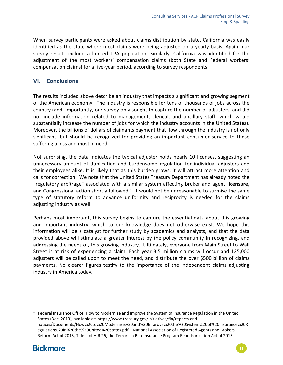When survey participants were asked about claims distribution by state, California was easily identified as the state where most claims were being adjusted on a yearly basis. Again, our survey results include a limited TPA population. Similarly, California was identified for the adjustment of the most workers' compensation claims (both State and Federal workers' compensation claims) for a five‐year period, according to survey respondents.

### **VI. Conclusions**

The results included above describe an industry that impacts a significant and growing segment of the American economy. The industry is responsible for tens of thousands of jobs across the country (and, importantly, our survey only sought to capture the number of adjusters, and did not include information related to management, clerical, and ancillary staff, which would substantially increase the number of jobs for which the industry accounts in the United States). Moreover, the billions of dollars of claimants payment that flow through the industry is not only significant, but should be recognized for providing an important consumer service to those suffering a loss and most in need.

Not surprising, the data indicates the typical adjuster holds nearly 10 licenses, suggesting an unnecessary amount of duplication and burdensome regulation for individual adjusters and their employees alike. It is likely that as this burden grows, it will attract more attention and calls for correction. We note that the United States Treasury Department has already noted the "regulatory arbitrage" associated with a similar system affecting broker and agent **licensure,** and Congressional action shortly followed.<sup>4</sup> It would not be unreasonable to surmise the same type of statutory reform to advance uniformity and reciprocity is needed for the claims adjusting industry as well.

Perhaps most important, this survey begins to capture the essential data about this growing and important industry, which to our knowledge does not otherwise exist. We hope this information will be a catalyst for further study by academics and analysts, and that the data provided above will stimulate a greater interest by the policy community in recognizing, and addressing the needs of, this growing industry. Ultimately, everyone from Main Street to Wall Street is at risk of experiencing a claim. Each year 3.5 million claims will occur and 125,000 adjusters will be called upon to meet the need, and distribute the over \$500 billion of claims payments. No clearer figures testify to the importance of the independent claims adjusting industry in America today.

<sup>&</sup>lt;sup>4</sup> Federal Insurance Office, How to Modernize and Improve the System of Insurance Regulation in the United States (Dec. 2013), available at: https://www.treasury.gov/initiatives/fio/reports‐and notices/Documents/How%20to%20Modernize%20and%20Improve%20the%20System%20of%20Insurance%20R egulation%20in%20the%20United%20States.pdf ; National Association of Registered Agents and Brokers Reform Act of 2015, Title II of H.R.26, the Terrorism Risk Insurance Program Reauthorization Act of 2015.



 $\overline{\phantom{a}}$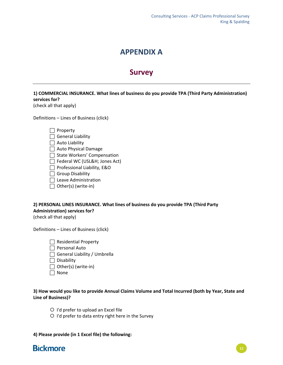## **APPENDIX A**

# **Survey**

### **1) COMMERCIAL INSURANCE. What lines of business do you provide TPA (Third Party Administration) services for?**

(check all that apply)

Definitions – Lines of Business (click)

| Property                           |
|------------------------------------|
| General Liability                  |
| $\Box$ Auto Liability              |
| $\Box$ Auto Physical Damage        |
| $\Box$ State Workers' Compensation |
| Federal WC (USL&H Jones Act)       |
| □ Professional Liability, E&O      |
| □ Group Disability                 |
| Leave Administration               |
| Other(s) (write-in)                |

**2) PERSONAL LINES INSURANCE. What lines of business do you provide TPA (Third Party Administration) services for?** (check all that apply)

Definitions – Lines of Business (click)

 $\Box$  Residential Property Personal Auto General Liability / Umbrella  $\Box$  Disability

 $\Box$  Other(s) (write-in)

None

### **3) How would you like to provide Annual Claims Volume and Total Incurred (both by Year, State and Line of Business)?**

- O I'd prefer to upload an Excel file
- O I'd prefer to data entry right here in the Survey

### **4) Please provide (in 1 Excel file) the following:**

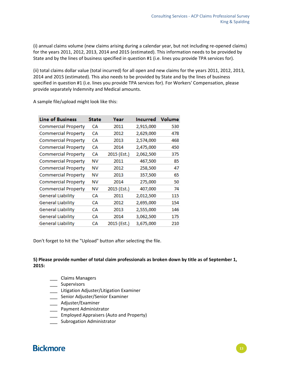(i) annual claims volume (new claims arising during a calendar year, but not including re‐opened claims) for the years 2011, 2012, 2013, 2014 and 2015 (estimated). This information needs to be provided by State and by the lines of business specified in question #1 (i.e. lines you provide TPA services for).

(ii) total claims dollar value (total incurred) for all open and new claims for the years 2011, 2012, 2013, 2014 and 2015 (estimated). This also needs to be provided by State and by the lines of business specified in question #1 (i.e. lines you provide TPA services for). For Workers' Compensation, please provide separately Indemnity and Medical amounts.

| <b>Line of Business</b>    | State | Year        | Incurred  | Volume |
|----------------------------|-------|-------------|-----------|--------|
| <b>Commercial Property</b> | CА    | 2011        | 2,915,000 | 530    |
| <b>Commercial Property</b> | CА    | 2012        | 2,629,000 | 478    |
| <b>Commercial Property</b> | CА    | 2013        | 2,574,000 | 468    |
| <b>Commercial Property</b> | CА    | 2014        | 2,475,000 | 450    |
| <b>Commercial Property</b> | CА    | 2015 (Est.) | 2,062,500 | 375    |
| <b>Commercial Property</b> | ΝV    | 2011        | 467,500   | 85     |
| <b>Commercial Property</b> | ΝV    | 2012        | 258,500   | 47     |
| <b>Commercial Property</b> | ΝV    | 2013        | 357,500   | 65     |
| <b>Commercial Property</b> | ΝV    | 2014        | 275,000   | 50     |
| <b>Commercial Property</b> | ΝV    | 2015 (Est.) | 407,000   | 74     |
| <b>General Liability</b>   | CА    | 2011        | 2,012,500 | 115    |
| <b>General Liability</b>   | CА    | 2012        | 2,695,000 | 154    |
| <b>General Liability</b>   | CА    | 2013        | 2,555,000 | 146    |
| <b>General Liability</b>   | CА    | 2014        | 3,062,500 | 175    |
| <b>General Liability</b>   | CА    | 2015 (Est.) | 3,675,000 | 210    |

A sample file/upload might look like this:

Don't forget to hit the "Upload" button after selecting the file.

### **5) Please provide number of total claim professionals as broken down by title as of September 1, 2015:**

- \_\_\_ Claims Managers
- \_\_\_ Supervisors
- \_\_\_ Litigation Adjuster/Litigation Examiner
- \_\_\_ Senior Adjuster/Senior Examiner
- \_\_\_ Adjuster/Examiner
- \_\_\_ Payment Administrator
- **\_\_\_** Employed Appraisers (Auto and Property)
- \_\_\_ Subrogation Administrator